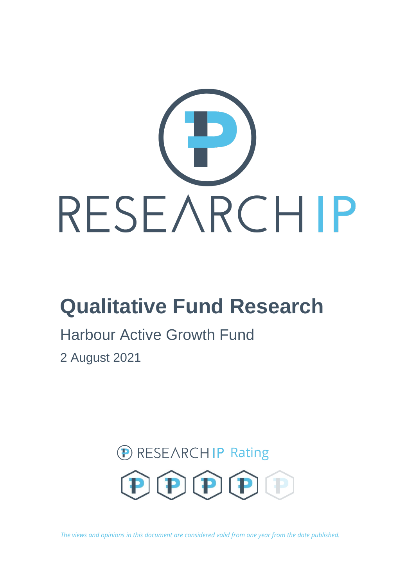

# **Qualitative Fund Research**

# Harbour Active Growth Fund

2 August 2021



*The views and opinions in this document are considered valid from one year from the date published.*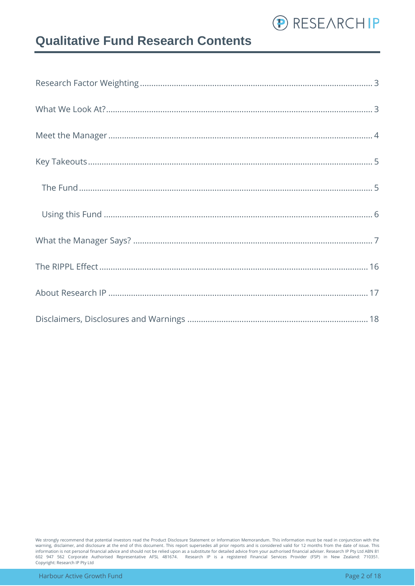

### **Qualitative Fund Research Contents**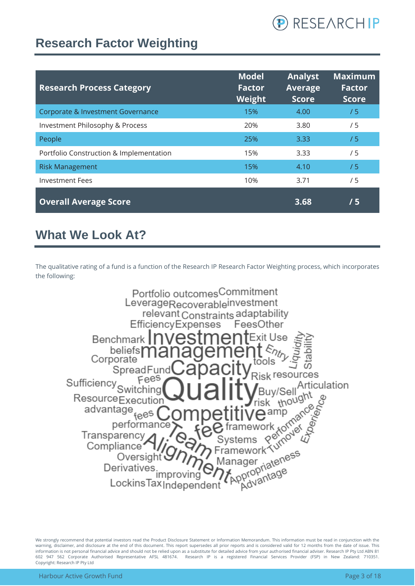

### <span id="page-2-0"></span>**Research Factor Weighting**

| <b>Research Process Category</b>        | <b>Model</b><br><b>Factor</b><br>Weight | <b>Analyst</b><br><b>Average</b><br><b>Score</b> | <b>Maximum</b><br><b>Factor</b><br><b>Score</b> |
|-----------------------------------------|-----------------------------------------|--------------------------------------------------|-------------------------------------------------|
| Corporate & Investment Governance       | 15%                                     | 4.00                                             | /5                                              |
| Investment Philosophy & Process         | 20%                                     | 3.80                                             | /5                                              |
| People                                  | 25%                                     | 3.33                                             | /5                                              |
| Portfolio Construction & Implementation | 15%                                     | 3.33                                             | /5                                              |
| <b>Risk Management</b>                  | 15%                                     | 4.10                                             | /5                                              |
| <b>Investment Fees</b>                  | 10%                                     | 3.71                                             | /5                                              |
| <b>Overall Average Score</b>            |                                         | 3.68                                             | /5                                              |

### <span id="page-2-1"></span>**What We Look At?**

The qualitative rating of a fund is a function of the Research IP Research Factor Weighting process, which incorporates the following:

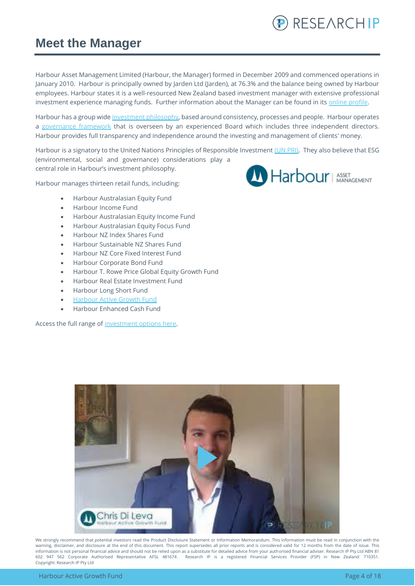

### <span id="page-3-0"></span>**Meet the Manager**

Harbour Asset Management Limited (Harbour, the Manager) formed in December 2009 and commenced operations in January 2010. Harbour is principally owned by Jarden Ltd (Jarden), at 76.3% and the balance being owned by Harbour employees. Harbour states it is a well-resourced New Zealand based investment manager with extensive professional investment experience managing funds. Further information about the Manager can be found in its online profile.

Harbour has a group wide [investment philosophy,](https://www.harbourasset.co.nz/about-us/investment-philosophy/) based around consistency, processes and people. Harbour operates a [governance framework](https://www.harbourasset.co.nz/about-us/corporate-responsibility/) that is overseen by an experienced Board which includes three independent directors. Harbour provides full transparency and independence around the investing and management of clients' money.

Harbour is a signatory to the United Nations Principles of Responsible Investment [\(UN PRI\).](https://www.harbourasset.co.nz/about-us/responsible-investing/) They also believe that ESG (environmental, social and governance) considerations play a central role in Harbour's investment philosophy.

Harbour manages thirteen retail funds, including:

- Harbour Australasian Equity Fund
- Harbour Income Fund
- Harbour Australasian Equity Income Fund
- Harbour Australasian Equity Focus Fund
- Harbour NZ Index Shares Fund
- Harbour Sustainable NZ Shares Fund
- Harbour NZ Core Fixed Interest Fund
- Harbour Corporate Bond Fund
- Harbour T. Rowe Price Global Equity Growth Fund
- Harbour Real Estate Investment Fund
- Harbour Long Short Fund
- **[Harbour Active Growth Fund](https://www.harbourasset.co.nz/our-funds/active-growth-fund/)**
- Harbour Enhanced Cash Fund

Access the full range of [investment options here.](https://platform.research-ip.com/?filter=power&fund_managers=71)



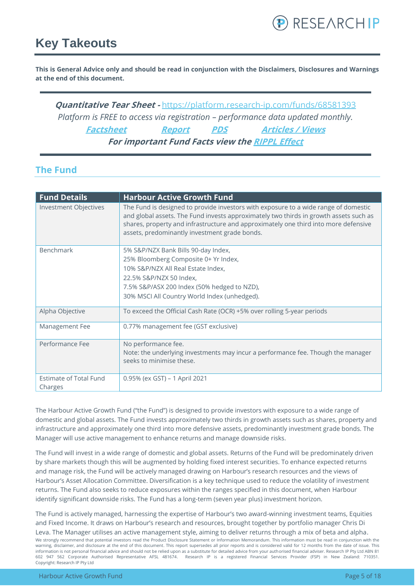### <span id="page-4-0"></span>**Key Takeouts**

**This is General Advice only and should be read in conjunction with the Disclaimers, Disclosures and Warnings at the end of this document.**

**Quantitative Tear Sheet -** <https://platform.research-ip.com/funds/68581393> *Platform is FREE to access via registration – performance data updated monthly.* **[Factsheet](https://www.harbourasset.co.nz/our-funds/active-growth-fund/) [Report](https://www.harbourasset.co.nz/our-funds/active-growth-fund/) [PDS](https://www.harbourasset.co.nz/our-funds/investor-documents/) [Articles / Views](https://www.harbourasset.co.nz/research-and-commentary/) For important Fund Facts view th[e RIPPL Effect](https://research-ip.com/rippl-effect-reports/)**

### <span id="page-4-1"></span>**The Fund**

| <b>Fund Details</b>           | <b>Harbour Active Growth Fund</b>                                                                                                                                                                                                                                                                                    |
|-------------------------------|----------------------------------------------------------------------------------------------------------------------------------------------------------------------------------------------------------------------------------------------------------------------------------------------------------------------|
| <b>Investment Objectives</b>  | The Fund is designed to provide investors with exposure to a wide range of domestic<br>and global assets. The Fund invests approximately two thirds in growth assets such as<br>shares, property and infrastructure and approximately one third into more defensive<br>assets, predominantly investment grade bonds. |
| Benchmark                     | 5% S&P/NZX Bank Bills 90-day Index,                                                                                                                                                                                                                                                                                  |
|                               | 25% Bloomberg Composite 0+ Yr Index,                                                                                                                                                                                                                                                                                 |
|                               | 10% S&P/NZX All Real Estate Index,                                                                                                                                                                                                                                                                                   |
|                               | 22.5% S&P/NZX 50 Index,                                                                                                                                                                                                                                                                                              |
|                               | 7.5% S&P/ASX 200 Index (50% hedged to NZD),                                                                                                                                                                                                                                                                          |
|                               | 30% MSCI All Country World Index (unhedged).                                                                                                                                                                                                                                                                         |
| Alpha Objective               | To exceed the Official Cash Rate (OCR) +5% over rolling 5-year periods                                                                                                                                                                                                                                               |
| Management Fee                | 0.77% management fee (GST exclusive)                                                                                                                                                                                                                                                                                 |
| Performance Fee               | No performance fee.                                                                                                                                                                                                                                                                                                  |
|                               | Note: the underlying investments may incur a performance fee. Though the manager<br>seeks to minimise these.                                                                                                                                                                                                         |
| <b>Estimate of Total Fund</b> | 0.95% (ex GST) - 1 April 2021                                                                                                                                                                                                                                                                                        |
| Charges                       |                                                                                                                                                                                                                                                                                                                      |

The Harbour Active Growth Fund ("the Fund") is designed to provide investors with exposure to a wide range of domestic and global assets. The Fund invests approximately two thirds in growth assets such as shares, property and infrastructure and approximately one third into more defensive assets, predominantly investment grade bonds. The Manager will use active management to enhance returns and manage downside risks.

The Fund will invest in a wide range of domestic and global assets. Returns of the Fund will be predominately driven by share markets though this will be augmented by holding fixed interest securities. To enhance expected returns and manage risk, the Fund will be actively managed drawing on Harbour's research resources and the views of Harbour's Asset Allocation Committee. Diversification is a key technique used to reduce the volatility of investment returns. The Fund also seeks to reduce exposures within the ranges specified in this document, when Harbour identify significant downside risks. The Fund has a long-term (seven year plus) investment horizon.

We strongly recommend that potential investors read the Product Disclosure Statement or Information Memorandum. This information must be read in conjunction with the warning, disclaimer, and disclosure at the end of this document. This report supersedes all prior reports and is considered valid for 12 months from the date of issue. This information is not personal financial advice and should not be relied upon as a substitute for detailed advice from your authorised financial adviser. Research IP Pty Ltd ABN 81 602 947 562 Corporate Authorised Representative AFSL 481674. Research IP is a registered Financial Services Provider (FSP) in New Zealand: 710351. Copyright: Research IP Pty Ltd The Fund is actively managed, harnessing the expertise of Harbour's two award-winning investment teams, Equities and Fixed Income. It draws on Harbour's research and resources, brought together by portfolio manager Chris Di Leva. The Manager utilises an active management style, aiming to deliver returns through a mix of beta and alpha.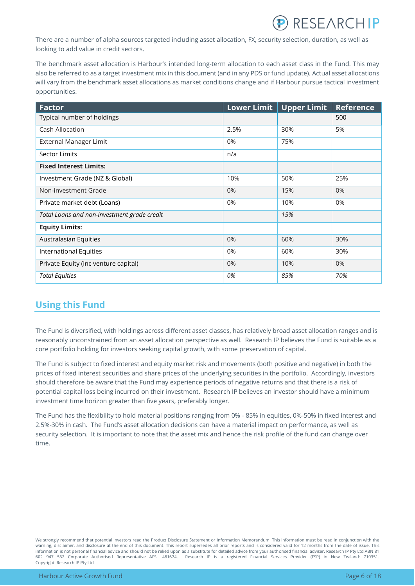

There are a number of alpha sources targeted including asset allocation, FX, security selection, duration, as well as looking to add value in credit sectors.

The benchmark asset allocation is Harbour's intended long-term allocation to each asset class in the Fund. This may also be referred to as a target investment mix in this document (and in any PDS or fund update). Actual asset allocations will vary from the benchmark asset allocations as market conditions change and if Harbour pursue tactical investment opportunities.

| <b>Factor</b>                               | <b>Lower Limit</b> | <b>Upper Limit</b> | <b>Reference</b> |
|---------------------------------------------|--------------------|--------------------|------------------|
| Typical number of holdings                  |                    |                    | 500              |
| Cash Allocation                             | 2.5%               | 30%                | 5%               |
| External Manager Limit                      | 0%                 | 75%                |                  |
| <b>Sector Limits</b>                        | n/a                |                    |                  |
| <b>Fixed Interest Limits:</b>               |                    |                    |                  |
| Investment Grade (NZ & Global)              | 10%                | 50%                | 25%              |
| Non-investment Grade                        | 0%                 | 15%                | 0%               |
| Private market debt (Loans)                 | 0%                 | 10%                | 0%               |
| Total Loans and non-investment grade credit |                    | 15%                |                  |
| <b>Equity Limits:</b>                       |                    |                    |                  |
| Australasian Equities                       | 0%                 | 60%                | 30%              |
| <b>International Equities</b>               | 0%                 | 60%                | 30%              |
| Private Equity (inc venture capital)        | 0%                 | 10%                | 0%               |
| <b>Total Equities</b>                       | 0%                 | 85%                | 70%              |

### <span id="page-5-0"></span>**Using this Fund**

The Fund is diversified, with holdings across different asset classes, has relatively broad asset allocation ranges and is reasonably unconstrained from an asset allocation perspective as well. Research IP believes the Fund is suitable as a core portfolio holding for investors seeking capital growth, with some preservation of capital.

The Fund is subject to fixed interest and equity market risk and movements (both positive and negative) in both the prices of fixed interest securities and share prices of the underlying securities in the portfolio. Accordingly, investors should therefore be aware that the Fund may experience periods of negative returns and that there is a risk of potential capital loss being incurred on their investment. Research IP believes an investor should have a minimum investment time horizon greater than five years, preferably longer.

The Fund has the flexibility to hold material positions ranging from 0% - 85% in equities, 0%-50% in fixed interest and 2.5%-30% in cash. The Fund's asset allocation decisions can have a material impact on performance, as well as security selection. It is important to note that the asset mix and hence the risk profile of the fund can change over time.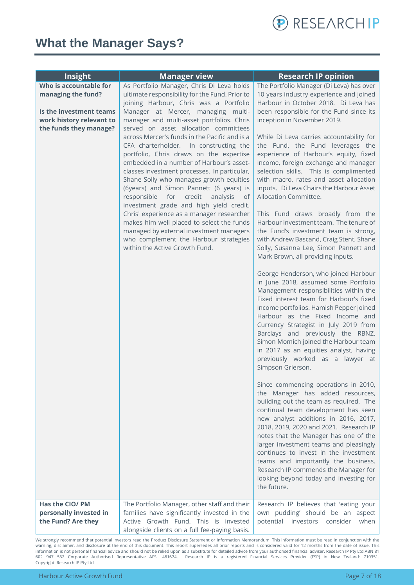

### <span id="page-6-0"></span>**What the Manager Says?**

| Insight                                                         | <b>Manager view</b>                                                                                                                                                                                                                                                                                                                                                                                                                                                                                                                                                                                                         | <b>Research IP opinion</b>                                                                                                                                                                                                                                                                                                                                                                                                                                                                                                                                                                                                                                                                                                                                                                                                                                                                                                                                                                                                                         |
|-----------------------------------------------------------------|-----------------------------------------------------------------------------------------------------------------------------------------------------------------------------------------------------------------------------------------------------------------------------------------------------------------------------------------------------------------------------------------------------------------------------------------------------------------------------------------------------------------------------------------------------------------------------------------------------------------------------|----------------------------------------------------------------------------------------------------------------------------------------------------------------------------------------------------------------------------------------------------------------------------------------------------------------------------------------------------------------------------------------------------------------------------------------------------------------------------------------------------------------------------------------------------------------------------------------------------------------------------------------------------------------------------------------------------------------------------------------------------------------------------------------------------------------------------------------------------------------------------------------------------------------------------------------------------------------------------------------------------------------------------------------------------|
| Who is accountable for                                          | As Portfolio Manager, Chris Di Leva holds                                                                                                                                                                                                                                                                                                                                                                                                                                                                                                                                                                                   | The Portfolio Manager (Di Leva) has over                                                                                                                                                                                                                                                                                                                                                                                                                                                                                                                                                                                                                                                                                                                                                                                                                                                                                                                                                                                                           |
| managing the fund?                                              | ultimate responsibility for the Fund. Prior to                                                                                                                                                                                                                                                                                                                                                                                                                                                                                                                                                                              | 10 years industry experience and joined                                                                                                                                                                                                                                                                                                                                                                                                                                                                                                                                                                                                                                                                                                                                                                                                                                                                                                                                                                                                            |
|                                                                 | joining Harbour, Chris was a Portfolio                                                                                                                                                                                                                                                                                                                                                                                                                                                                                                                                                                                      | Harbour in October 2018. Di Leva has                                                                                                                                                                                                                                                                                                                                                                                                                                                                                                                                                                                                                                                                                                                                                                                                                                                                                                                                                                                                               |
| Is the investment teams                                         | Manager at Mercer, managing multi-                                                                                                                                                                                                                                                                                                                                                                                                                                                                                                                                                                                          | been responsible for the Fund since its                                                                                                                                                                                                                                                                                                                                                                                                                                                                                                                                                                                                                                                                                                                                                                                                                                                                                                                                                                                                            |
| work history relevant to                                        | manager and multi-asset portfolios. Chris                                                                                                                                                                                                                                                                                                                                                                                                                                                                                                                                                                                   | inception in November 2019.                                                                                                                                                                                                                                                                                                                                                                                                                                                                                                                                                                                                                                                                                                                                                                                                                                                                                                                                                                                                                        |
| the funds they manage?                                          | served on asset allocation committees                                                                                                                                                                                                                                                                                                                                                                                                                                                                                                                                                                                       |                                                                                                                                                                                                                                                                                                                                                                                                                                                                                                                                                                                                                                                                                                                                                                                                                                                                                                                                                                                                                                                    |
|                                                                 | across Mercer's funds in the Pacific and is a<br>CFA charterholder. In constructing the<br>portfolio, Chris draws on the expertise<br>embedded in a number of Harbour's asset-<br>classes investment processes. In particular,<br>Shane Solly who manages growth equities<br>(6years) and Simon Pannett (6 years) is<br>responsible for credit<br>analysis<br>0f<br>investment grade and high yield credit.<br>Chris' experience as a manager researcher<br>makes him well placed to select the funds<br>managed by external investment managers<br>who complement the Harbour strategies<br>within the Active Growth Fund. | While Di Leva carries accountability for<br>the Fund, the Fund leverages the<br>experience of Harbour's equity, fixed<br>income, foreign exchange and manager<br>selection skills. This is complimented<br>with macro, rates and asset allocation<br>inputs. Di Leva Chairs the Harbour Asset<br>Allocation Committee.<br>This Fund draws broadly from the<br>Harbour investment team. The tenure of<br>the Fund's investment team is strong,<br>with Andrew Bascand, Craig Stent, Shane<br>Solly, Susanna Lee, Simon Pannett and<br>Mark Brown, all providing inputs.<br>George Henderson, who joined Harbour<br>in June 2018, assumed some Portfolio<br>Management responsibilities within the<br>Fixed interest team for Harbour's fixed<br>income portfolios. Hamish Pepper joined<br>Harbour as the Fixed Income and<br>Currency Strategist in July 2019 from<br>Barclays and previously the RBNZ.<br>Simon Momich joined the Harbour team<br>in 2017 as an equities analyst, having<br>previously worked as a lawyer at<br>Simpson Grierson. |
|                                                                 |                                                                                                                                                                                                                                                                                                                                                                                                                                                                                                                                                                                                                             | Since commencing operations in 2010,<br>the Manager has added resources,<br>building out the team as required. The<br>continual team development has seen<br>new analyst additions in 2016, 2017,<br>2018, 2019, 2020 and 2021. Research IP<br>notes that the Manager has one of the<br>larger investment teams and pleasingly<br>continues to invest in the investment<br>teams and importantly the business.<br>Research IP commends the Manager for<br>looking beyond today and investing for<br>the future.                                                                                                                                                                                                                                                                                                                                                                                                                                                                                                                                    |
| Has the CIO/ PM<br>personally invested in<br>the Fund? Are they | The Portfolio Manager, other staff and their<br>families have significantly invested in the<br>Active Growth Fund. This is invested<br>alongside clients on a full fee-paying basis.                                                                                                                                                                                                                                                                                                                                                                                                                                        | Research IP believes that 'eating your<br>own pudding' should be an aspect<br>potential<br>consider<br>investors<br>when                                                                                                                                                                                                                                                                                                                                                                                                                                                                                                                                                                                                                                                                                                                                                                                                                                                                                                                           |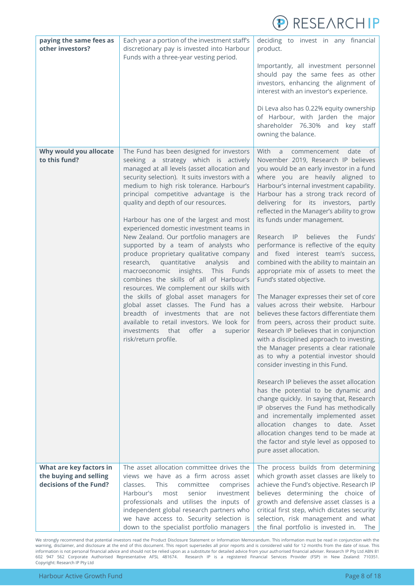

| paying the same fees as<br>other investors?      | Each year a portion of the investment staff's<br>discretionary pay is invested into Harbour<br>Funds with a three-year vesting period.                                                                                                                                                                                                                                                                                                                                                                                                                                                                                                                                                                                                                                                                                                                                                                                                                                         | deciding to invest in any financial<br>product.<br>Importantly, all investment personnel<br>should pay the same fees as other<br>investors, enhancing the alignment of<br>interest with an investor's experience.<br>Di Leva also has 0.22% equity ownership<br>of Harbour, with Jarden the major<br>shareholder 76.30% and key staff<br>owning the balance.                                                                                                                                                                                                                                                                                                                                                                                                                                                                                                                                                                                                                                                                                                                                                                                                                                                                                                                                                                                                                          |
|--------------------------------------------------|--------------------------------------------------------------------------------------------------------------------------------------------------------------------------------------------------------------------------------------------------------------------------------------------------------------------------------------------------------------------------------------------------------------------------------------------------------------------------------------------------------------------------------------------------------------------------------------------------------------------------------------------------------------------------------------------------------------------------------------------------------------------------------------------------------------------------------------------------------------------------------------------------------------------------------------------------------------------------------|---------------------------------------------------------------------------------------------------------------------------------------------------------------------------------------------------------------------------------------------------------------------------------------------------------------------------------------------------------------------------------------------------------------------------------------------------------------------------------------------------------------------------------------------------------------------------------------------------------------------------------------------------------------------------------------------------------------------------------------------------------------------------------------------------------------------------------------------------------------------------------------------------------------------------------------------------------------------------------------------------------------------------------------------------------------------------------------------------------------------------------------------------------------------------------------------------------------------------------------------------------------------------------------------------------------------------------------------------------------------------------------|
| Why would you allocate<br>to this fund?          | The Fund has been designed for investors<br>seeking a strategy which is actively<br>managed at all levels (asset allocation and<br>security selection). It suits investors with a<br>medium to high risk tolerance. Harbour's<br>principal competitive advantage is the<br>quality and depth of our resources.<br>Harbour has one of the largest and most<br>experienced domestic investment teams in<br>New Zealand. Our portfolio managers are<br>supported by a team of analysts who<br>produce proprietary qualitative company<br>research, quantitative<br>analysis<br>and<br>macroeconomic insights.<br>This<br>Funds<br>combines the skills of all of Harbour's<br>resources. We complement our skills with<br>the skills of global asset managers for<br>global asset classes. The Fund has a<br>breadth of investments that are not<br>available to retail investors. We look for<br>offer<br>investments<br>that<br>$\mathsf{a}$<br>superior<br>risk/return profile. | With<br>date<br>of<br>commencement<br>a<br>November 2019, Research IP believes<br>you would be an early investor in a fund<br>where you are heavily aligned to<br>Harbour's internal investment capability.<br>Harbour has a strong track record of<br>delivering for its investors, partly<br>reflected in the Manager's ability to grow<br>its funds under management.<br>Research IP<br>believes<br>the<br>Funds'<br>performance is reflective of the equity<br>and fixed interest team's success,<br>combined with the ability to maintain an<br>appropriate mix of assets to meet the<br>Fund's stated objective.<br>The Manager expresses their set of core<br>values across their website. Harbour<br>believes these factors differentiate them<br>from peers, across their product suite.<br>Research IP believes that in conjunction<br>with a disciplined approach to investing,<br>the Manager presents a clear rationale<br>as to why a potential investor should<br>consider investing in this Fund.<br>Research IP believes the asset allocation<br>has the potential to be dynamic and<br>change quickly. In saying that, Research<br>IP observes the Fund has methodically<br>and incrementally implemented asset<br>allocation changes to date. Asset<br>allocation changes tend to be made at<br>the factor and style level as opposed to<br>pure asset allocation. |
| What are key factors in                          | The asset allocation committee drives the                                                                                                                                                                                                                                                                                                                                                                                                                                                                                                                                                                                                                                                                                                                                                                                                                                                                                                                                      | The process builds from determining                                                                                                                                                                                                                                                                                                                                                                                                                                                                                                                                                                                                                                                                                                                                                                                                                                                                                                                                                                                                                                                                                                                                                                                                                                                                                                                                                   |
| the buying and selling<br>decisions of the Fund? | views we have as a firm across asset<br>This<br>classes.<br>committee<br>comprises<br>Harbour's<br>most<br>senior<br>investment<br>professionals and utilises the inputs of<br>independent global research partners who<br>we have access to. Security selection is<br>down to the specialist portfolio managers                                                                                                                                                                                                                                                                                                                                                                                                                                                                                                                                                                                                                                                               | which growth asset classes are likely to<br>achieve the Fund's objective. Research IP<br>believes determining the choice of<br>growth and defensive asset classes is a<br>critical first step, which dictates security<br>selection, risk management and what<br>the final portfolio is invested in.<br>The                                                                                                                                                                                                                                                                                                                                                                                                                                                                                                                                                                                                                                                                                                                                                                                                                                                                                                                                                                                                                                                                           |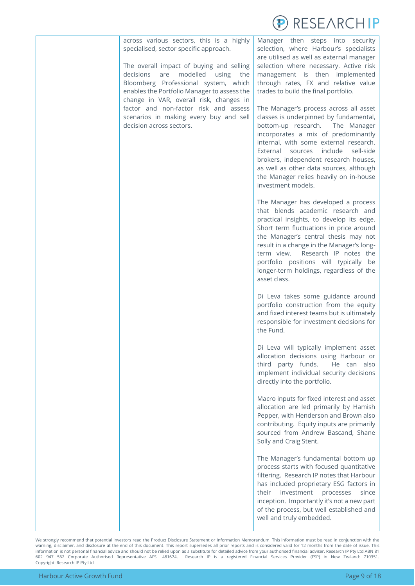

across various sectors, this is a highly specialised, sector specific approach.

The overall impact of buying and selling decisions are modelled using the Bloomberg Professional system, which enables the Portfolio Manager to assess the change in VAR, overall risk, changes in factor and non-factor risk and assess scenarios in making every buy and sell decision across sectors.

Manager then steps into security selection, where Harbour's specialists are utilised as well as external manager selection where necessary. Active risk management is then implemented through rates, FX and relative value trades to build the final portfolio.

The Manager's process across all asset classes is underpinned by fundamental, bottom-up research. The Manager incorporates a mix of predominantly internal, with some external research. External sources include sell-side brokers, independent research houses, as well as other data sources, although the Manager relies heavily on in-house investment models.

The Manager has developed a process that blends academic research and practical insights, to develop its edge. Short term fluctuations in price around the Manager's central thesis may not result in a change in the Manager's longterm view. Research IP notes the portfolio positions will typically be longer-term holdings, regardless of the asset class.

Di Leva takes some guidance around portfolio construction from the equity and fixed interest teams but is ultimately responsible for investment decisions for the Fund.

Di Leva will typically implement asset allocation decisions using Harbour or third party funds. He can also implement individual security decisions directly into the portfolio.

Macro inputs for fixed interest and asset allocation are led primarily by Hamish Pepper, with Henderson and Brown also contributing. Equity inputs are primarily sourced from Andrew Bascand, Shane Solly and Craig Stent.

The Manager's fundamental bottom up process starts with focused quantitative filtering. Research IP notes that Harbour has included proprietary ESG factors in their investment processes since inception. Importantly it's not a new part of the process, but well established and well and truly embedded.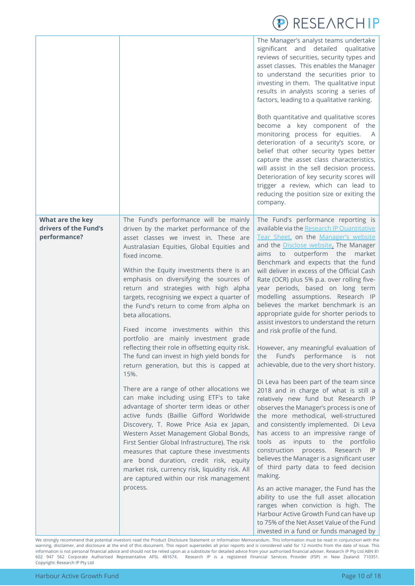|                                                           |                                                                                                                                                                                                                                                                                                                                                                                                                                                                                                                                                                                                                                                                                                                                                                                                                                                                                                                                                                                                                                                                                                                                                                                                      | REJE/IRUNI                                                                                                                                                                                                                                                                                                                                                                                                                                                                                                                                                                                                                                                                                                                                                                                                                                                                                                                                                                                                                                                                                                                                                                                                                                                                                                                                                                                                                                                              |
|-----------------------------------------------------------|------------------------------------------------------------------------------------------------------------------------------------------------------------------------------------------------------------------------------------------------------------------------------------------------------------------------------------------------------------------------------------------------------------------------------------------------------------------------------------------------------------------------------------------------------------------------------------------------------------------------------------------------------------------------------------------------------------------------------------------------------------------------------------------------------------------------------------------------------------------------------------------------------------------------------------------------------------------------------------------------------------------------------------------------------------------------------------------------------------------------------------------------------------------------------------------------------|-------------------------------------------------------------------------------------------------------------------------------------------------------------------------------------------------------------------------------------------------------------------------------------------------------------------------------------------------------------------------------------------------------------------------------------------------------------------------------------------------------------------------------------------------------------------------------------------------------------------------------------------------------------------------------------------------------------------------------------------------------------------------------------------------------------------------------------------------------------------------------------------------------------------------------------------------------------------------------------------------------------------------------------------------------------------------------------------------------------------------------------------------------------------------------------------------------------------------------------------------------------------------------------------------------------------------------------------------------------------------------------------------------------------------------------------------------------------------|
|                                                           |                                                                                                                                                                                                                                                                                                                                                                                                                                                                                                                                                                                                                                                                                                                                                                                                                                                                                                                                                                                                                                                                                                                                                                                                      | The Manager's analyst teams undertake<br>significant and detailed<br>qualitative<br>reviews of securities, security types and<br>asset classes. This enables the Manager<br>to understand the securities prior to<br>investing in them. The qualitative input<br>results in analysts scoring a series of<br>factors, leading to a qualitative ranking.                                                                                                                                                                                                                                                                                                                                                                                                                                                                                                                                                                                                                                                                                                                                                                                                                                                                                                                                                                                                                                                                                                                  |
|                                                           |                                                                                                                                                                                                                                                                                                                                                                                                                                                                                                                                                                                                                                                                                                                                                                                                                                                                                                                                                                                                                                                                                                                                                                                                      | Both quantitative and qualitative scores<br>become a key component of the<br>monitoring process for equities.<br>A<br>deterioration of a security's score, or<br>belief that other security types better<br>capture the asset class characteristics,<br>will assist in the sell decision process.<br>Deterioration of key security scores will<br>trigger a review, which can lead to<br>reducing the position size or exiting the<br>company.                                                                                                                                                                                                                                                                                                                                                                                                                                                                                                                                                                                                                                                                                                                                                                                                                                                                                                                                                                                                                          |
| What are the key<br>drivers of the Fund's<br>performance? | The Fund's performance will be mainly<br>driven by the market performance of the<br>asset classes we invest in. These are<br>Australasian Equities, Global Equities and<br>fixed income.<br>Within the Equity investments there is an<br>emphasis on diversifying the sources of<br>return and strategies with high alpha<br>targets, recognising we expect a quarter of<br>the Fund's return to come from alpha on<br>beta allocations.<br>Fixed income investments within this<br>portfolio are mainly investment grade<br>reflecting their role in offsetting equity risk.<br>The fund can invest in high yield bonds for<br>return generation, but this is capped at<br>15%.<br>There are a range of other allocations we<br>can make including using ETF's to take<br>advantage of shorter term ideas or other<br>active funds (Baillie Gifford Worldwide<br>Discovery, T. Rowe Price Asia ex Japan,<br>Western Asset Management Global Bonds,<br>First Sentier Global Infrastructure). The risk<br>measures that capture these investments<br>are bond duration, credit risk, equity<br>market risk, currency risk, liquidity risk. All<br>are captured within our risk management<br>process. | The Fund's performance reporting is<br>available via the Research IP Quantitative<br>Tear Sheet, on the Manager's website<br>and the Disclose website. The Manager<br>outperform the<br>aims to<br>market<br>Benchmark and expects that the fund<br>will deliver in excess of the Official Cash<br>Rate (OCR) plus 5% p.a. over rolling five-<br>year periods, based on long term<br>modelling assumptions. Research IP<br>believes the market benchmark is an<br>appropriate guide for shorter periods to<br>assist investors to understand the return<br>and risk profile of the fund.<br>However, any meaningful evaluation of<br>performance<br>Fund's<br>the<br>is<br>not<br>achievable, due to the very short history.<br>Di Leva has been part of the team since<br>2018 and in charge of what is still a<br>relatively new fund but Research IP<br>observes the Manager's process is one of<br>the more methodical, well-structured<br>and consistently implemented. Di Leva<br>has access to an impressive range of<br>tools as inputs to the portfolio<br>construction process.<br>Research IP<br>believes the Manager is a significant user<br>of third party data to feed decision<br>making.<br>As an active manager, the Fund has the<br>ability to use the full asset allocation<br>ranges when conviction is high. The<br>Harbour Active Growth Fund can have up<br>to 75% of the Net Asset Value of the Fund<br>invested in a fund or funds managed by |

We strongly recommend that potential investors read the Product Disclosure Statement or Information Memorandum. This information must be read in conjunction with the warning, disclaimer, and disclosure at the end of this document. This report supersedes all prior reports and is considered valid for 12 months from the date of issue. This information is not personal financial advice and should not be relied upon as a substitute for detailed advice from your authorised financial adviser. Research IP Pty Ltd ABN 81 602 947 562 Corporate Authorised Representative AFSL 481674. Research IP is a registered Financial Services Provider (FSP) in New Zealand: 710351. Copyright: Research IP Pty Ltd

 $AD$  DECEADCLID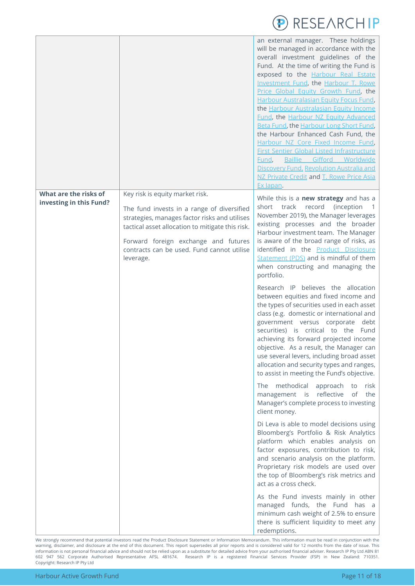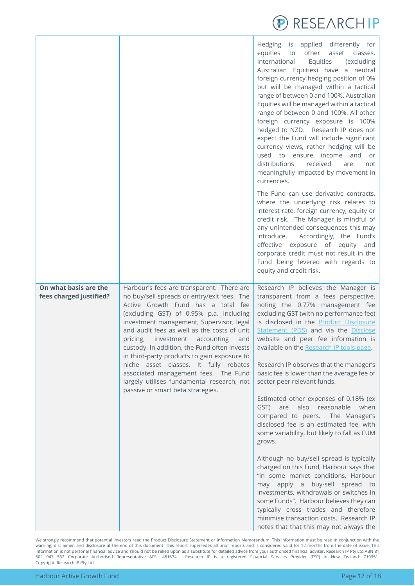

|                                                  |                                                                                                                                                                                                                                                                                                                                                                                                                                                                                                                                                                                     | Hedging is applied differently for<br>equities to<br>other asset classes.<br>International<br>Equities<br>(excluding<br>Australian Equities) have a neutral<br>foreign currency hedging position of 0%<br>but will be managed within a tactical<br>range of between 0 and 100%. Australian<br>Equities will be managed within a tactical<br>range of between 0 and 100%. All other<br>foreign currency exposure is 100%<br>hedged to NZD. Research IP does not<br>expect the Fund will include significant<br>currency views, rather hedging will be<br>used to ensure income and<br>or<br>distributions<br>received<br>are<br>not<br>meaningfully impacted by movement in<br>currencies.                                                                                                                                                                                                                                                                                                                                                                            |
|--------------------------------------------------|-------------------------------------------------------------------------------------------------------------------------------------------------------------------------------------------------------------------------------------------------------------------------------------------------------------------------------------------------------------------------------------------------------------------------------------------------------------------------------------------------------------------------------------------------------------------------------------|----------------------------------------------------------------------------------------------------------------------------------------------------------------------------------------------------------------------------------------------------------------------------------------------------------------------------------------------------------------------------------------------------------------------------------------------------------------------------------------------------------------------------------------------------------------------------------------------------------------------------------------------------------------------------------------------------------------------------------------------------------------------------------------------------------------------------------------------------------------------------------------------------------------------------------------------------------------------------------------------------------------------------------------------------------------------|
|                                                  |                                                                                                                                                                                                                                                                                                                                                                                                                                                                                                                                                                                     | The Fund can use derivative contracts,<br>where the underlying risk relates to<br>interest rate, foreign currency, equity or<br>credit risk. The Manager is mindful of<br>any unintended consequences this may<br>introduce.<br>Accordingly, the Fund's<br>effective exposure of equity and<br>corporate credit must not result in the<br>Fund being levered with regards to<br>equity and credit risk.                                                                                                                                                                                                                                                                                                                                                                                                                                                                                                                                                                                                                                                              |
| On what basis are the<br>fees charged justified? | Harbour's fees are transparent. There are<br>no buy/sell spreads or entry/exit fees. The<br>Active Growth Fund has a total fee<br>(excluding GST) of 0.95% p.a. including<br>investment management, Supervisor, legal<br>and audit fees as well as the costs of unit<br>pricing,<br>investment accounting<br>and<br>custody. In addition, the Fund often invests<br>in third-party products to gain exposure to<br>niche asset classes. It fully rebates<br>associated management fees. The Fund<br>largely utilises fundamental research, not<br>passive or smart beta strategies. | Research IP believes the Manager is<br>transparent from a fees perspective,<br>noting the 0.77% management fee<br>excluding GST (with no performance fee)<br>is disclosed in the Product Disclosure<br>Statement (PDS) and via the Disclose<br>website and peer fee information is<br>available on the Research IP tools page.<br>Research IP observes that the manager's<br>basic fee is lower than the average fee of<br>sector peer relevant funds.<br>Estimated other expenses of 0.18% (ex<br>also reasonable<br>when<br>are<br>GST)<br>compared to peers. The Manager's<br>disclosed fee is an estimated fee, with<br>some variability, but likely to fall as FUM<br>grows.<br>Although no buy/sell spread is typically<br>charged on this Fund, Harbour says that<br>"in some market conditions, Harbour<br>may apply a buy-sell spread to<br>investments, withdrawals or switches in<br>some Funds". Harbour believes they can<br>typically cross trades and therefore<br>minimise transaction costs. Research IP<br>notes that that this may not always the |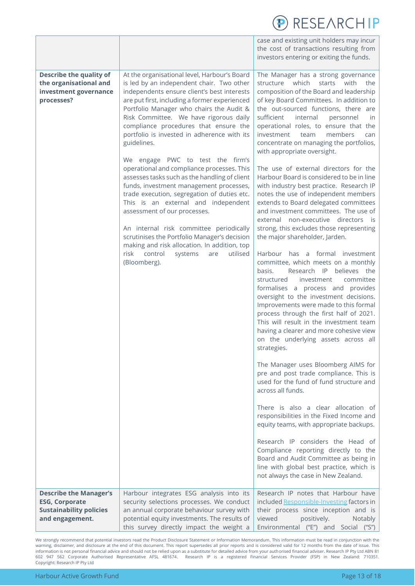|                                                                                                                                  |                                                                                                                                                                                                                                                                                                                                                                                                                                                                                                                                                                                                                                                                                                                                                                                                                                                                                                                                                    | RESEARCHIP                                                                                                                                                                                                                                                                                                                                                                                                                                                                                                                                                                                                                                                                                                                                                                                                                                                                                                                                                                                                                                                                                                                                                                                                                                                                                                                                                                                                                                                                                                                                                                                                                                                                                                                                                                                                        |
|----------------------------------------------------------------------------------------------------------------------------------|----------------------------------------------------------------------------------------------------------------------------------------------------------------------------------------------------------------------------------------------------------------------------------------------------------------------------------------------------------------------------------------------------------------------------------------------------------------------------------------------------------------------------------------------------------------------------------------------------------------------------------------------------------------------------------------------------------------------------------------------------------------------------------------------------------------------------------------------------------------------------------------------------------------------------------------------------|-------------------------------------------------------------------------------------------------------------------------------------------------------------------------------------------------------------------------------------------------------------------------------------------------------------------------------------------------------------------------------------------------------------------------------------------------------------------------------------------------------------------------------------------------------------------------------------------------------------------------------------------------------------------------------------------------------------------------------------------------------------------------------------------------------------------------------------------------------------------------------------------------------------------------------------------------------------------------------------------------------------------------------------------------------------------------------------------------------------------------------------------------------------------------------------------------------------------------------------------------------------------------------------------------------------------------------------------------------------------------------------------------------------------------------------------------------------------------------------------------------------------------------------------------------------------------------------------------------------------------------------------------------------------------------------------------------------------------------------------------------------------------------------------------------------------|
|                                                                                                                                  |                                                                                                                                                                                                                                                                                                                                                                                                                                                                                                                                                                                                                                                                                                                                                                                                                                                                                                                                                    | case and existing unit holders may incur<br>the cost of transactions resulting from<br>investors entering or exiting the funds.                                                                                                                                                                                                                                                                                                                                                                                                                                                                                                                                                                                                                                                                                                                                                                                                                                                                                                                                                                                                                                                                                                                                                                                                                                                                                                                                                                                                                                                                                                                                                                                                                                                                                   |
| <b>Describe the quality of</b><br>the organisational and<br>investment governance<br>processes?<br><b>Describe the Manager's</b> | At the organisational level, Harbour's Board<br>is led by an independent chair. Two other<br>independents ensure client's best interests<br>are put first, including a former experienced<br>Portfolio Manager who chairs the Audit &<br>Risk Committee. We have rigorous daily<br>compliance procedures that ensure the<br>portfolio is invested in adherence with its<br>guidelines.<br>We engage PWC to test the firm's<br>operational and compliance processes. This<br>assesses tasks such as the handling of client<br>funds, investment management processes,<br>trade execution, segregation of duties etc.<br>This is an external and independent<br>assessment of our processes.<br>An internal risk committee periodically<br>scrutinises the Portfolio Manager's decision<br>making and risk allocation. In addition, top<br>risk<br>control<br>systems<br>utilised<br>are<br>(Bloomberg).<br>Harbour integrates ESG analysis into its | The Manager has a strong governance<br>which<br>structure<br>starts<br>with<br>the<br>composition of the Board and leadership<br>of key Board Committees. In addition to<br>the out-sourced functions, there are<br>sufficient<br>internal<br>personnel<br>in.<br>operational roles, to ensure that the<br>investment<br>members<br>team<br>can<br>concentrate on managing the portfolios,<br>with appropriate oversight.<br>The use of external directors for the<br>Harbour Board is considered to be in line<br>with industry best practice. Research IP<br>notes the use of independent members<br>extends to Board delegated committees<br>and investment committees. The use of<br>external non-executive directors is<br>strong, this excludes those representing<br>the major shareholder, Jarden.<br>Harbour has a formal investment<br>committee, which meets on a monthly<br>Research IP believes the<br>basis.<br>structured<br>committee<br>investment<br>formalises a process and provides<br>oversight to the investment decisions.<br>Improvements were made to this formal<br>process through the first half of 2021.<br>This will result in the investment team<br>having a clearer and more cohesive view<br>on the underlying assets across all<br>strategies.<br>The Manager uses Bloomberg AIMS for<br>pre and post trade compliance. This is<br>used for the fund of fund structure and<br>across all funds.<br>There is also a clear allocation of<br>responsibilities in the Fixed Income and<br>equity teams, with appropriate backups.<br>Research IP considers the Head of<br>Compliance reporting directly to the<br>Board and Audit Committee as being in<br>line with global best practice, which is<br>not always the case in New Zealand.<br>Research IP notes that Harbour have |
| <b>ESG, Corporate</b><br><b>Sustainability policies</b><br>and engagement.                                                       | security selections processes. We conduct<br>an annual corporate behaviour survey with<br>potential equity investments. The results of<br>this survey directly impact the weight a                                                                                                                                                                                                                                                                                                                                                                                                                                                                                                                                                                                                                                                                                                                                                                 | included Responsible-Investing factors in<br>their process since inception and is<br>viewed<br>positively.<br>Notably<br>Environmental ("E") and Social ("S")                                                                                                                                                                                                                                                                                                                                                                                                                                                                                                                                                                                                                                                                                                                                                                                                                                                                                                                                                                                                                                                                                                                                                                                                                                                                                                                                                                                                                                                                                                                                                                                                                                                     |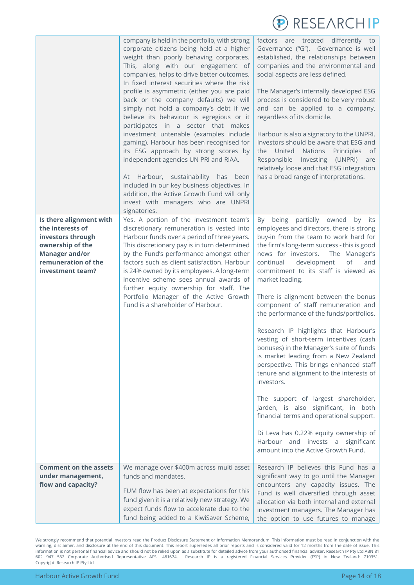

|                                                                                                                                                          | company is held in the portfolio, with strong<br>corporate citizens being held at a higher<br>weight than poorly behaving corporates.<br>This, along with our engagement of<br>companies, helps to drive better outcomes.<br>In fixed interest securities where the risk<br>profile is asymmetric (either you are paid<br>back or the company defaults) we will<br>simply not hold a company's debt if we<br>believe its behaviour is egregious or it<br>participates in a sector that makes<br>investment untenable (examples include<br>gaming). Harbour has been recognised for<br>its ESG approach by strong scores by<br>independent agencies UN PRI and RIAA.<br>At Harbour, sustainability has been<br>included in our key business objectives. In<br>addition, the Active Growth Fund will only<br>invest with managers who are UNPRI<br>signatories. | factors are treated differently to<br>Governance ("G"). Governance is well<br>established, the relationships between<br>companies and the environmental and<br>social aspects are less defined.<br>The Manager's internally developed ESG<br>process is considered to be very robust<br>and can be applied to a company,<br>regardless of its domicile.<br>Harbour is also a signatory to the UNPRI.<br>Investors should be aware that ESG and<br>the United<br>Nations<br>Principles<br>of<br>Responsible<br>Investing (UNPRI)<br>are<br>relatively loose and that ESG integration<br>has a broad range of interpretations.                                                                                                                                                                                                                                                                                                                                                 |
|----------------------------------------------------------------------------------------------------------------------------------------------------------|---------------------------------------------------------------------------------------------------------------------------------------------------------------------------------------------------------------------------------------------------------------------------------------------------------------------------------------------------------------------------------------------------------------------------------------------------------------------------------------------------------------------------------------------------------------------------------------------------------------------------------------------------------------------------------------------------------------------------------------------------------------------------------------------------------------------------------------------------------------|------------------------------------------------------------------------------------------------------------------------------------------------------------------------------------------------------------------------------------------------------------------------------------------------------------------------------------------------------------------------------------------------------------------------------------------------------------------------------------------------------------------------------------------------------------------------------------------------------------------------------------------------------------------------------------------------------------------------------------------------------------------------------------------------------------------------------------------------------------------------------------------------------------------------------------------------------------------------------|
| Is there alignment with<br>the interests of<br>investors through<br>ownership of the<br><b>Manager and/or</b><br>remuneration of the<br>investment team? | Yes. A portion of the investment team's<br>discretionary remuneration is vested into<br>Harbour funds over a period of three years.<br>This discretionary pay is in turn determined<br>by the Fund's performance amongst other<br>factors such as client satisfaction. Harbour<br>is 24% owned by its employees. A long-term<br>incentive scheme sees annual awards of<br>further equity ownership for staff. The<br>Portfolio Manager of the Active Growth<br>Fund is a shareholder of Harbour.                                                                                                                                                                                                                                                                                                                                                              | being partially owned<br>By<br>by its<br>employees and directors, there is strong<br>buy-in from the team to work hard for<br>the firm's long-term success - this is good<br>news for investors.<br>The Manager's<br>continual<br>development<br>of<br>and<br>commitment to its staff is viewed as<br>market leading.<br>There is alignment between the bonus<br>component of staff remuneration and<br>the performance of the funds/portfolios.<br>Research IP highlights that Harbour's<br>vesting of short-term incentives (cash<br>bonuses) in the Manager's suite of funds<br>is market leading from a New Zealand<br>perspective. This brings enhanced staff<br>tenure and alignment to the interests of<br>investors.<br>The support of largest shareholder,<br>Jarden, is also significant, in both<br>financial terms and operational support.<br>Di Leva has 0.22% equity ownership of<br>Harbour and invests a significant<br>amount into the Active Growth Fund. |
| <b>Comment on the assets</b><br>under management,<br>flow and capacity?                                                                                  | We manage over \$400m across multi asset<br>funds and mandates.<br>FUM flow has been at expectations for this<br>fund given it is a relatively new strategy. We<br>expect funds flow to accelerate due to the<br>fund being added to a KiwiSaver Scheme,                                                                                                                                                                                                                                                                                                                                                                                                                                                                                                                                                                                                      | Research IP believes this Fund has a<br>significant way to go until the Manager<br>encounters any capacity issues. The<br>Fund is well diversified through asset<br>allocation via both internal and external<br>investment managers. The Manager has<br>the option to use futures to manage                                                                                                                                                                                                                                                                                                                                                                                                                                                                                                                                                                                                                                                                                 |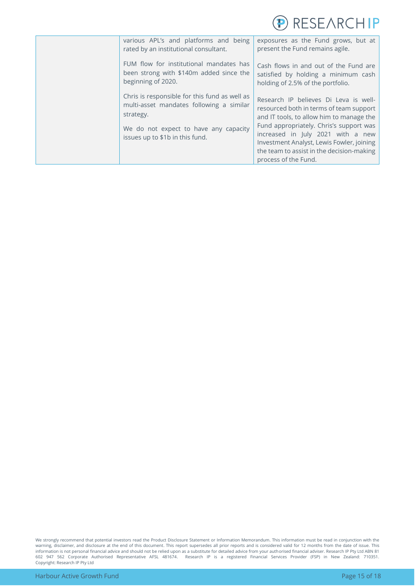

| various APL's and platforms and being<br>rated by an institutional consultant.                                                                                                     | exposures as the Fund grows, but at<br>present the Fund remains agile.                                                                                                                                                                                                                                                         |
|------------------------------------------------------------------------------------------------------------------------------------------------------------------------------------|--------------------------------------------------------------------------------------------------------------------------------------------------------------------------------------------------------------------------------------------------------------------------------------------------------------------------------|
| FUM flow for institutional mandates has<br>been strong with \$140m added since the<br>beginning of 2020.                                                                           | Cash flows in and out of the Fund are<br>satisfied by holding a minimum cash<br>holding of 2.5% of the portfolio.                                                                                                                                                                                                              |
| Chris is responsible for this fund as well as<br>multi-asset mandates following a similar<br>strategy.<br>We do not expect to have any capacity<br>issues up to \$1b in this fund. | Research IP believes Di Leva is well-<br>resourced both in terms of team support<br>and IT tools, to allow him to manage the<br>Fund appropriately. Chris's support was<br>increased in July 2021 with a new<br>Investment Analyst, Lewis Fowler, joining<br>the team to assist in the decision-making<br>process of the Fund. |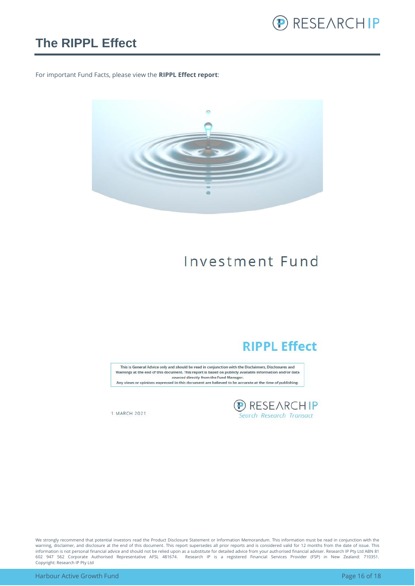

### <span id="page-15-0"></span>**The RIPPL Effect**

For important Fund Facts, please view the **RIPPL Effect report**:



## Investment Fund

### **RIPPL Effect**

This is General Advice only and should be read in conjunction with the Disclaimers, Disclosures and Warnings at the end of this document. This report is based on publicly available information and/or data sourced directly from the Fund Manager. Any views or opinions expressed in this document are believed to be accurate at the time of publishing.

**D** RESEARCHIP<br>Search Research Transact

1 MARCH 2021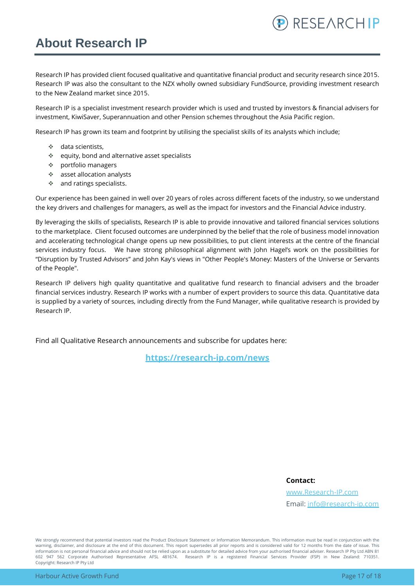### <span id="page-16-0"></span>**About Research IP**

Research IP has provided client focused qualitative and quantitative financial product and security research since 2015. Research IP was also the consultant to the NZX wholly owned subsidiary FundSource, providing investment research to the New Zealand market since 2015.

Research IP is a specialist investment research provider which is used and trusted by investors & financial advisers for investment, KiwiSaver, Superannuation and other Pension schemes throughout the Asia Pacific region.

Research IP has grown its team and footprint by utilising the specialist skills of its analysts which include;

- ❖ data scientists,
- ❖ equity, bond and alternative asset specialists
- ❖ portfolio managers
- ❖ asset allocation analysts
- ❖ and ratings specialists.

Our experience has been gained in well over 20 years of roles across different facets of the industry, so we understand the key drivers and challenges for managers, as well as the impact for investors and the Financial Advice industry.

By leveraging the skills of specialists, Research IP is able to provide innovative and tailored financial services solutions to the marketplace. Client focused outcomes are underpinned by the belief that the role of business model innovation and accelerating technological change opens up new possibilities, to put client interests at the centre of the financial services industry focus. We have strong philosophical alignment with John Hagel's work on the possibilities for "Disruption by Trusted Advisors" and John Kay's views in "Other People's Money: Masters of the Universe or Servants of the People".

Research IP delivers high quality quantitative and qualitative fund research to financial advisers and the broader financial services industry. Research IP works with a number of expert providers to source this data. Quantitative data is supplied by a variety of sources, including directly from the Fund Manager, while qualitative research is provided by Research IP.

Find all Qualitative Research announcements and subscribe for updates here:

**[https://research-ip.com/news](https://research-ip.com/category/qualitative-research/)**

#### **Contact:**

[www.Research-IP.com](http://www.research-ip.com/) Email: [info@research-ip.com](mailto:info@research-ip.com)

RESEARCHIP